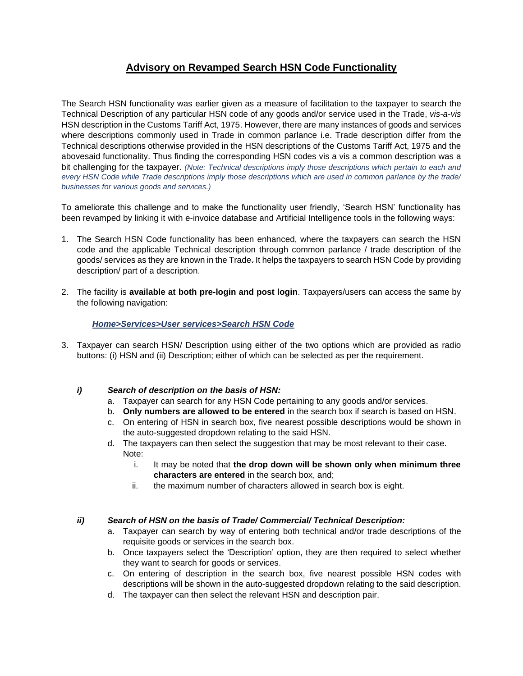# **Advisory on Revamped Search HSN Code Functionality**

The Search HSN functionality was earlier given as a measure of facilitation to the taxpayer to search the Technical Description of any particular HSN code of any goods and/or service used in the Trade, *vis-a-vis*  HSN description in the Customs Tariff Act, 1975. However, there are many instances of goods and services where descriptions commonly used in Trade in common parlance i.e. Trade description differ from the Technical descriptions otherwise provided in the HSN descriptions of the Customs Tariff Act, 1975 and the abovesaid functionality. Thus finding the corresponding HSN codes vis a vis a common description was a bit challenging for the taxpayer. *(Note: Technical descriptions imply those descriptions which pertain to each and every HSN Code while Trade descriptions imply those descriptions which are used in common parlance by the trade/ businesses for various goods and services.)*

To ameliorate this challenge and to make the functionality user friendly, 'Search HSN' functionality has been revamped by linking it with e-invoice database and Artificial Intelligence tools in the following ways:

- 1. The Search HSN Code functionality has been enhanced, where the taxpayers can search the HSN code and the applicable Technical description through common parlance / trade description of the goods/ services as they are known in the Trade. It helps the taxpayers to search HSN Code by providing description/ part of a description.
- 2. The facility is **available at both pre-login and post login**. Taxpayers/users can access the same by the following navigation:

## *Home>Services>User services>Search HSN Code*

3. Taxpayer can search HSN/ Description using either of the two options which are provided as radio buttons: (i) HSN and (ii) Description; either of which can be selected as per the requirement.

## *i) Search of description on the basis of HSN:*

- a. Taxpayer can search for any HSN Code pertaining to any goods and/or services.
- b. **Only numbers are allowed to be entered** in the search box if search is based on HSN.
- c. On entering of HSN in search box, five nearest possible descriptions would be shown in the auto-suggested dropdown relating to the said HSN.
- d. The taxpayers can then select the suggestion that may be most relevant to their case. Note:
	- i. It may be noted that **the drop down will be shown only when minimum three characters are entered** in the search box, and;
	- ii. the maximum number of characters allowed in search box is eight.

## *ii) Search of HSN on the basis of Trade/ Commercial/ Technical Description:*

- a. Taxpayer can search by way of entering both technical and/or trade descriptions of the requisite goods or services in the search box.
- b. Once taxpayers select the 'Description' option, they are then required to select whether they want to search for goods or services.
- c. On entering of description in the search box, five nearest possible HSN codes with descriptions will be shown in the auto-suggested dropdown relating to the said description.
- d. The taxpayer can then select the relevant HSN and description pair.